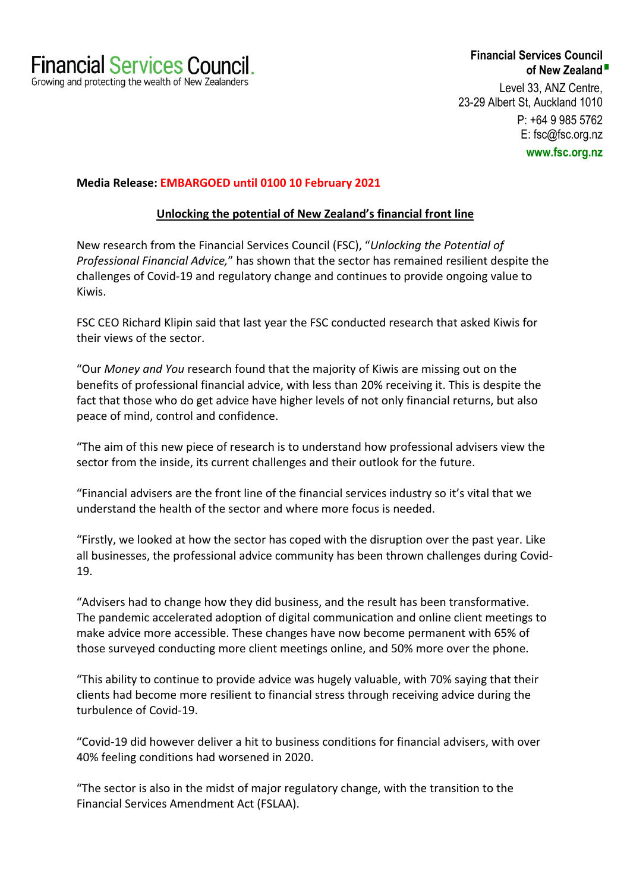# **Financial Services Council of New Zealand** Level 33, ANZ Centre, 23-29 Albert St, Auckland 1010 P: +64 9 985 5762 E: fsc@fsc.org.nz **www.fsc.org.nz**

#### **Media Release: EMBARGOED until 0100 10 February 2021**

### **Unlocking the potential of New Zealand's financial front line**

New research from the Financial Services Council (FSC), "*Unlocking the Potential of Professional Financial Advice,*" has shown that the sector has remained resilient despite the challenges of Covid-19 and regulatory change and continues to provide ongoing value to Kiwis.

FSC CEO Richard Klipin said that last year the FSC conducted research that asked Kiwis for their views of the sector.

"Our *Money and You* research found that the majority of Kiwis are missing out on the benefits of professional financial advice, with less than 20% receiving it. This is despite the fact that those who do get advice have higher levels of not only financial returns, but also peace of mind, control and confidence.

"The aim of this new piece of research is to understand how professional advisers view the sector from the inside, its current challenges and their outlook for the future.

"Financial advisers are the front line of the financial services industry so it's vital that we understand the health of the sector and where more focus is needed.

"Firstly, we looked at how the sector has coped with the disruption over the past year. Like all businesses, the professional advice community has been thrown challenges during Covid-19.

"Advisers had to change how they did business, and the result has been transformative. The pandemic accelerated adoption of digital communication and online client meetings to make advice more accessible. These changes have now become permanent with 65% of those surveyed conducting more client meetings online, and 50% more over the phone.

"This ability to continue to provide advice was hugely valuable, with 70% saying that their clients had become more resilient to financial stress through receiving advice during the turbulence of Covid-19.

"Covid-19 did however deliver a hit to business conditions for financial advisers, with over 40% feeling conditions had worsened in 2020.

"The sector is also in the midst of major regulatory change, with the transition to the Financial Services Amendment Act (FSLAA).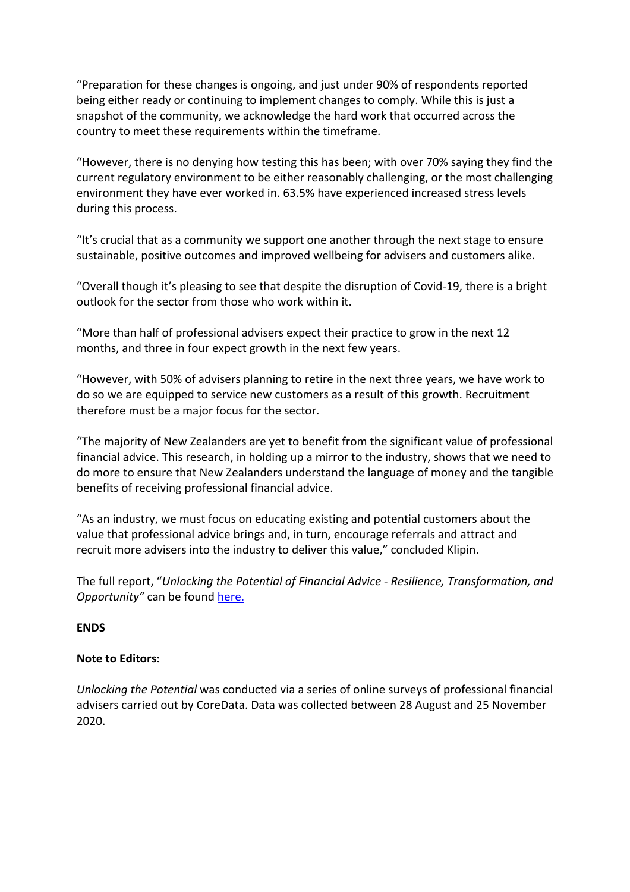"Preparation for these changes is ongoing, and just under 90% of respondents reported being either ready or continuing to implement changes to comply. While this is just a snapshot of the community, we acknowledge the hard work that occurred across the country to meet these requirements within the timeframe.

"However, there is no denying how testing this has been; with over 70% saying they find the current regulatory environment to be either reasonably challenging, or the most challenging environment they have ever worked in. 63.5% have experienced increased stress levels during this process.

"It's crucial that as a community we support one another through the next stage to ensure sustainable, positive outcomes and improved wellbeing for advisers and customers alike.

"Overall though it's pleasing to see that despite the disruption of Covid-19, there is a bright outlook for the sector from those who work within it.

"More than half of professional advisers expect their practice to grow in the next 12 months, and three in four expect growth in the next few years.

"However, with 50% of advisers planning to retire in the next three years, we have work to do so we are equipped to service new customers as a result of this growth. Recruitment therefore must be a major focus for the sector.

"The majority of New Zealanders are yet to benefit from the significant value of professional financial advice. This research, in holding up a mirror to the industry, shows that we need to do more to ensure that New Zealanders understand the language of money and the tangible benefits of receiving professional financial advice.

"As an industry, we must focus on educating existing and potential customers about the value that professional advice brings and, in turn, encourage referrals and attract and recruit more advisers into the industry to deliver this value," concluded Klipin.

The full report, "*Unlocking the Potential of Financial Advice - Resilience, Transformation, and Opportunity"* can be found here.

# **ENDS**

# **Note to Editors:**

*Unlocking the Potential* was conducted via a series of online surveys of professional financial advisers carried out by CoreData. Data was collected between 28 August and 25 November 2020.